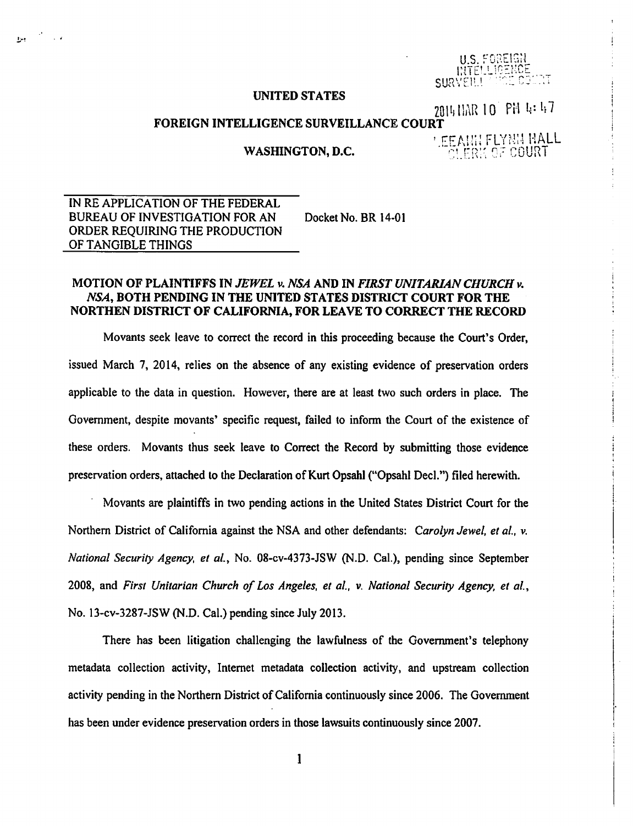U.S. FOREIGH **MTELLIG SURVEIL!** 

## UNITED STATES

2014 NAR 10 PM 4:47

i

 $\vert$ 

 $\parallel$ I  $\mathbf{I}$ i

## FOREIGN INTELLIGENCE SURVEILLANCE COURT

WASHINGTON, D.C.

'.EEANIN FLYNN HALL<br>|- ^ cl.ERK 0F COURT

IN RE APPLICATION OF THE FEDERAL BUREAU OF INVESTIGATION FOR AN ORDER REQUIRING THE PRODUCTION OF TANGIBLE THINGS Docket No. BR 14-01

.<br>بال الله اليول

## MOTION OF PLAINTIFFS IN *JEWEL v. NSA* AND IN *FIRST UNITARIAN CHURCH v. NSA,* BOTH PENDING IN THE UNITED STATES DISTRICT COURT FOR THE NORTHEN DISTRICT OF CALIFORNIA, FOR LEAVE TO CORRECT THE RECORD

Movants seek leave to correct the record in this proceeding because the Court's Order, issued March 7, 2014, relies on the absence of any existing evidence of preservation orders applicable to the data in question. However, there are at least two such orders in place. The Government, despite movants' specific request, failed to inform the Court of the existence of these orders. Movants thus seek leave to Correct the Record by submitting those evidence preservation orders, attached to the Declaration of Kurt Opsahl ("Opsahl Deel.") filed herewith.

· Movants are plaintiffs in two pending actions in the United States District Court for the Northern District of California against the NSA and other defendants: *Carolyn Jewel, et al.*, v. *National Security Agency, et al.,* No. 08-cv-4373-JSW (N.D. Cal.), pending since September 2008, and *First Unitarian Church of Los Angeles, et al..* v. *National Security Agency, et al.,*  No. 13-cv-3287-JSW (N.D. Cal.) pending since July 2013.

There has been litigation challenging the lawfulness of the Government's telephony metadata collection activity, Internet metadata collection activity, and upstream collection activity pending in the Northern District of California continuously since 2006. The Government has been under evidence preservation orders in those lawsuits continuously since 2007.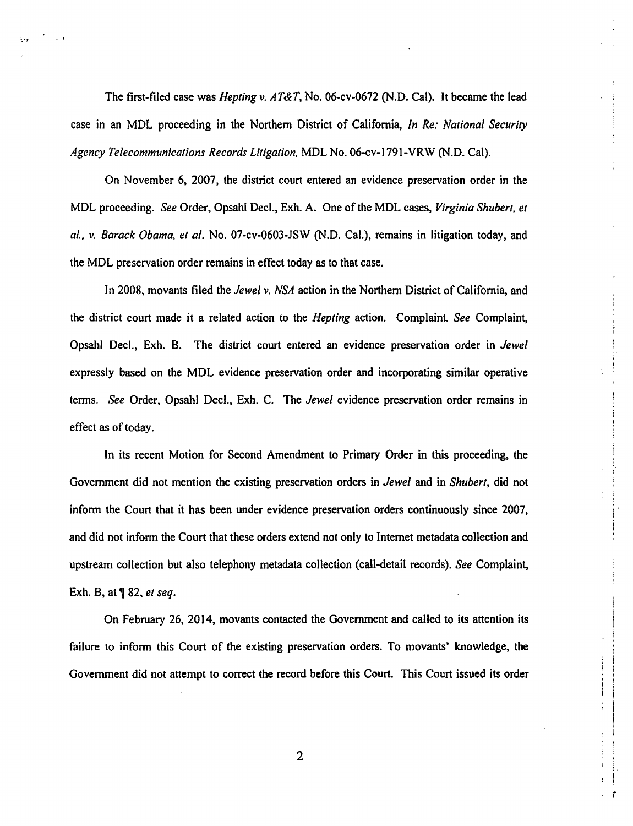The first-filed case was *Hepting v. AT&T,* No. 06-cv-0672 (N.D. Cal). It became the lead case in an MDL proceeding in the Northern District of California, *In Re: Nalional Security Agency Telecommunications Records Litigation,* MDL No. 06-cv-1791-VRW (N.D. Cal).

 $\mathbb{R}^{n+1}$ 

On November 6, 2007, the district court entered an evidence preservation order in the MDL proceeding. *See* Order, Opsahl Deel., Exh. A. One of the MDL cases, *Virginia Shuberl. et al .• v. Barack Obama, et al.* No. 07-cv-0603-JSW (N.D. Cal.), remains in litigation today, and the MDL preservation order remains in effect today as to that case.

In 2008, movants filed the *Jewel v. NSA* action in the Northern District of California, and the district court made it a related action to the *Hepting* action. Complaint. *See* Complaint, Opsahl Deel., Exh. B. The district court entered an evidence preservation order in *Jewel*  expressly based on the MDL evidence preservation order and incorporating similar operative terms. *See* Order, Opsahl Deel., Exh. C. The *Jewel* evidence preservation order remains in effect as of today.

In its recent Motion for Second Amendment to Primary Order in this proceeding, the Government did not mention the existing preservation orders in *Jewel* and in *Shubert,* did not inform the Court that it has been under evidence preservation orders continuously since 2007, and did not inform the Court that these orders extend not only to Internet metadata collection and upstream collection but also telephony metadata collection (call-detail records). *See* Complaint, Exh. B, at **1** 82, *et seq.* 

!

i

On February 26, 2014, movants contacted the Government and called to its attention its failure to inform this Court of the existing preservation orders. To movants' knowledge, the Government did not attempt to correct the record before this Court. This Court issued its order

2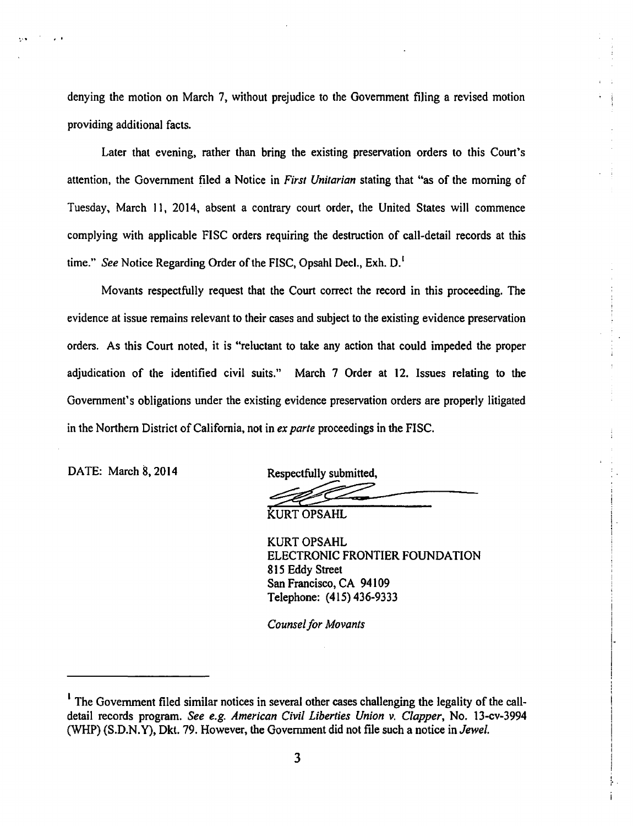denying the motion on March 7, without prejudice to the Government filing a revised motion providing additional facts.

Later that evening, rather than bring the existing preservation orders to this Court's attention, the Government filed a Notice in *First Unitarian* stating that "as of the morning of Tuesday, March 11, 2014, absent a contrary court order, the United States will commence complying with applicable FISC orders requiring the destruction of call-detail records at this time." *See* Notice Regarding Order of the FISC, Opsahl Decl., Exh. D.<sup>1</sup>

Movants respectfully request that the Court correct the record in this proceeding. The evidence at issue remains relevant to their cases and subject to the existing evidence preservation orders. As this Court noted, it is "reluctant to take any action that could impeded the proper adjudication of the identified civil suits." March 7 Order at 12. Issues relating to the Government's obligations under the existing evidence preservation orders are properly litigated in the Northern District of California, not in *ex parte* proceedings in the FISC.

DATE: March 8, 2014 Respectfully submitted,

~·" *t* I

KURT OPSAHL

KURT OPSAHL ELECTRONIC FRONTIER FOUNDATION 815 Eddy Street San Francisco, CA 94109 Telephone: (415) 436-9333

> !  $\mathbf{I}$

I··

I

! i".

*Counsel for Movants* 

<sup>&</sup>lt;sup>1</sup> The Government filed similar notices in several other cases challenging the legality of the calldetail records program. *See e.g. American Civil Liberties Union v. Clapper,* No. 13-cv~3994 (WHP) (S.D.N.Y), Dkt. 79. However, the Govenunent did not file such a notice in *Jewel.*